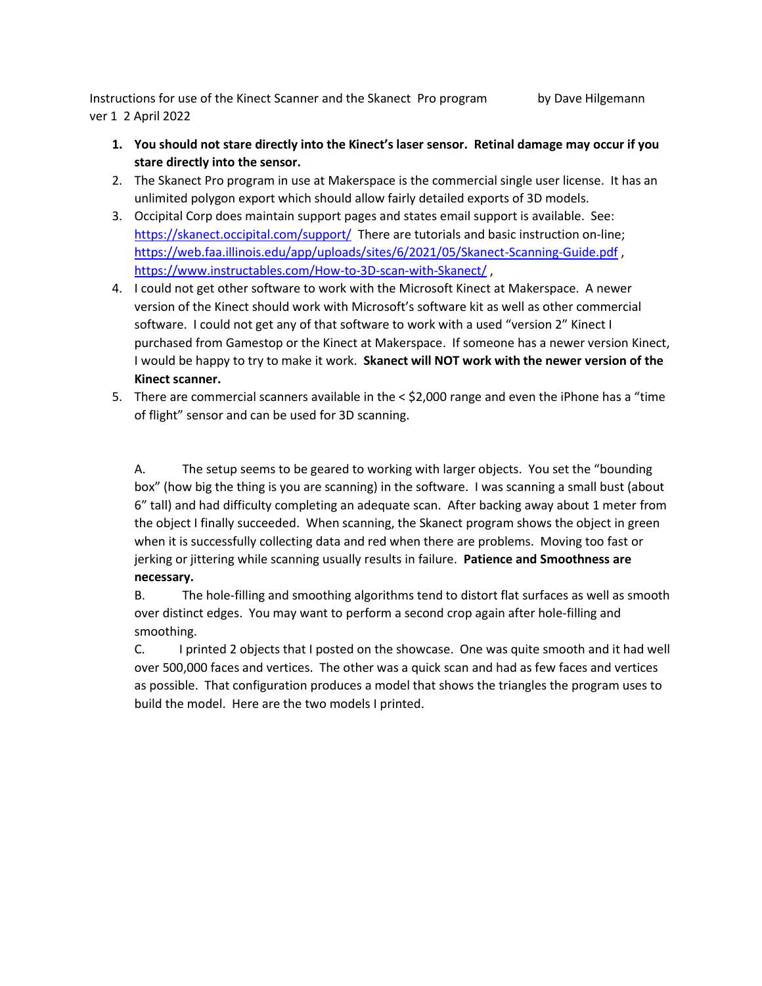Instructions for use of the Kinect Scanner and the Skanect Pro program by Dave Hilgemann ver 1 2 April 2022

- **1. You should not stare directly into the Kinect's laser sensor. Retinal damage may occur if you stare directly into the sensor.**
- 2. The Skanect Pro program in use at Makerspace is the commercial single user license. It has an unlimited polygon export which should allow fairly detailed exports of 3D models.
- 3. Occipital Corp does maintain support pages and states email support is available. See: <https://skanect.occipital.com/support/>There are tutorials and basic instruction on-line; <https://web.faa.illinois.edu/app/uploads/sites/6/2021/05/Skanect-Scanning-Guide.pdf> , <https://www.instructables.com/How-to-3D-scan-with-Skanect/> ,
- 4. I could not get other software to work with the Microsoft Kinect at Makerspace. A newer version of the Kinect should work with Microsoft's software kit as well as other commercial software. I could not get any of that software to work with a used "version 2" Kinect I purchased from Gamestop or the Kinect at Makerspace. If someone has a newer version Kinect, I would be happy to try to make it work. **Skanect will NOT work with the newer version of the Kinect scanner.**
- 5. There are commercial scanners available in the < \$2,000 range and even the iPhone has a "time of flight" sensor and can be used for 3D scanning.

A. The setup seems to be geared to working with larger objects. You set the "bounding box" (how big the thing is you are scanning) in the software. I was scanning a small bust (about 6" tall) and had difficulty completing an adequate scan. After backing away about 1 meter from the object I finally succeeded. When scanning, the Skanect program shows the object in green when it is successfully collecting data and red when there are problems. Moving too fast or jerking or jittering while scanning usually results in failure. **Patience and Smoothness are necessary.**

B. The hole-filling and smoothing algorithms tend to distort flat surfaces as well as smooth over distinct edges. You may want to perform a second crop again after hole-filling and smoothing.

C. I printed 2 objects that I posted on the showcase. One was quite smooth and it had well over 500,000 faces and vertices. The other was a quick scan and had as few faces and vertices as possible. That configuration produces a model that shows the triangles the program uses to build the model. Here are the two models I printed.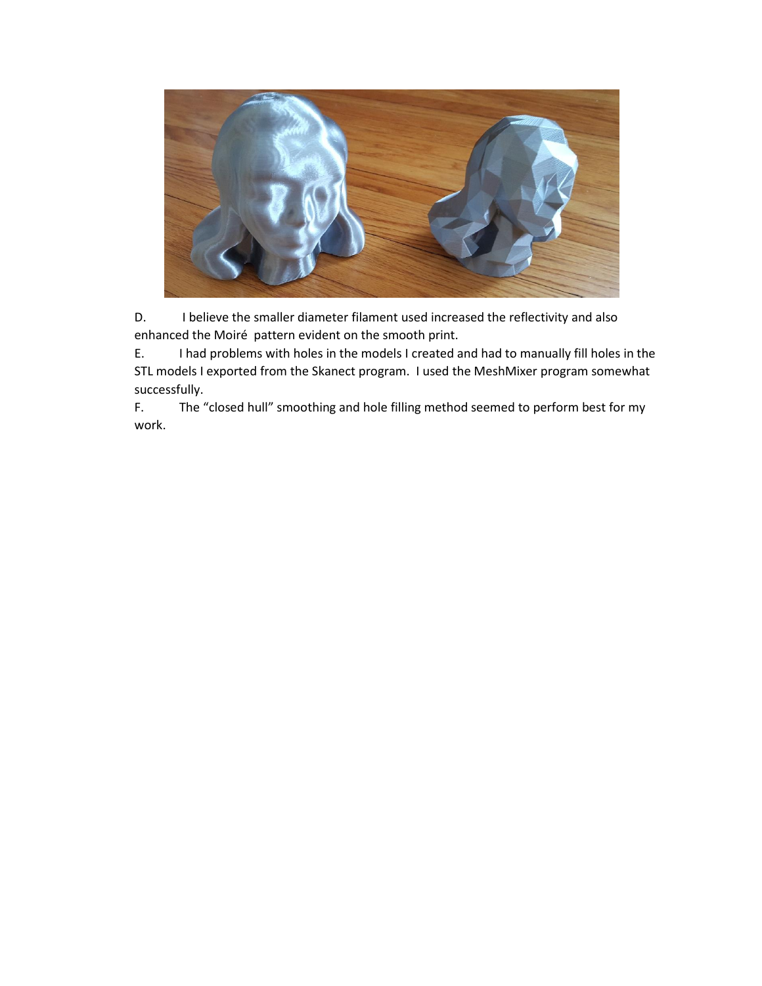

D. I believe the smaller diameter filament used increased the reflectivity and also enhanced the Moiré pattern evident on the smooth print.

E. I had problems with holes in the models I created and had to manually fill holes in the STL models I exported from the Skanect program. I used the MeshMixer program somewhat successfully.

F. The "closed hull" smoothing and hole filling method seemed to perform best for my work.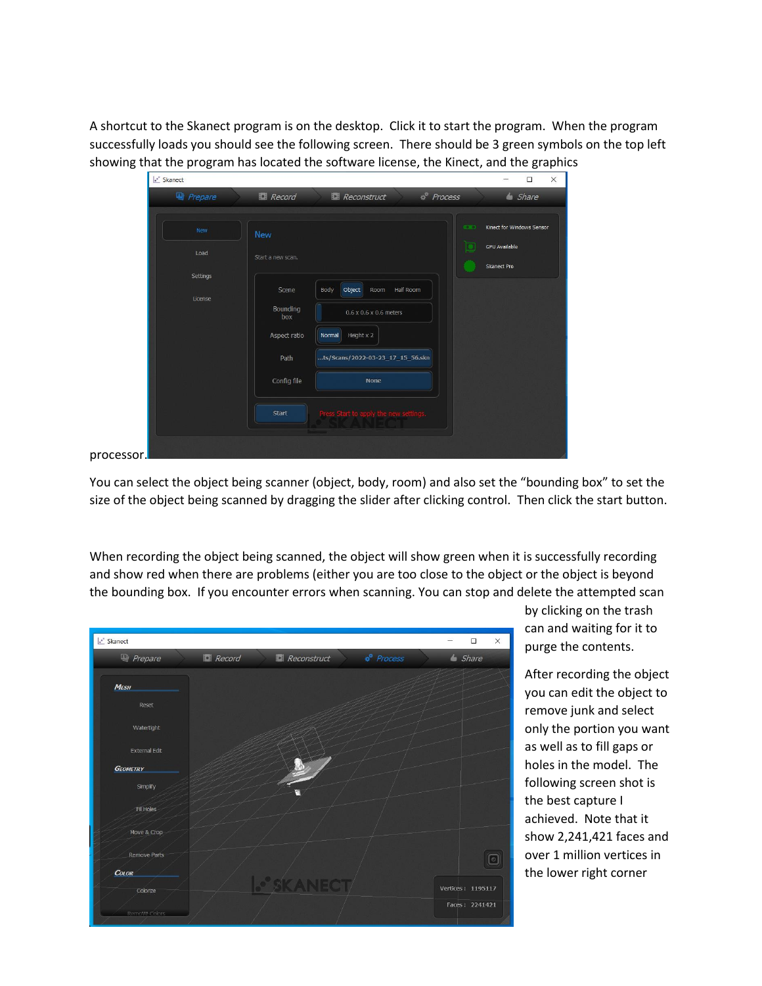A shortcut to the Skanect program is on the desktop. Click it to start the program. When the program successfully loads you should see the following screen. There should be 3 green symbols on the top left showing that the program has located the software license, the Kinect, and the graphics

| Let Skanect         |                     |                                          | $\times$<br>$\Box$                         |
|---------------------|---------------------|------------------------------------------|--------------------------------------------|
| Prepare             | Record              | $\phi^*$ Process<br><b>Reconstruct</b>   | $\triangle$ Share                          |
| New                 | <b>New</b>          |                                          | <b>COLD</b><br>Kinect for Windows Sensor   |
| Load                | Start a new scan.   |                                          | <b>GPU Available</b><br><b>Skanect Pro</b> |
| Settings<br>License | Scene               | Object<br>Half Room<br>Body<br>Room      |                                            |
|                     | Bounding<br>box     | 0.6 x 0.6 x 0.6 meters                   |                                            |
|                     | Aspect ratio        | Height x 2<br>Normal                     |                                            |
|                     | Path<br>Config file | ts/Scans/2022-03-23_17_15_56.skn<br>None |                                            |
|                     |                     |                                          |                                            |
|                     | <b>Start</b>        | Press Start to apply the new settings.   |                                            |
| processor.          |                     |                                          |                                            |

You can select the object being scanner (object, body, room) and also set the "bounding box" to set the size of the object being scanned by dragging the slider after clicking control. Then click the start button.

When recording the object being scanned, the object will show green when it is successfully recording and show red when there are problems (either you are too close to the object or the object is beyond the bounding box. If you encounter errors when scanning. You can stop and delete the attempted scan



by clicking on the trash can and waiting for it to purge the contents.

After recording the object you can edit the object to remove junk and select only the portion you want as well as to fill gaps or holes in the model. The following screen shot is the best capture I achieved. Note that it show 2,241,421 faces and over 1 million vertices in the lower right corner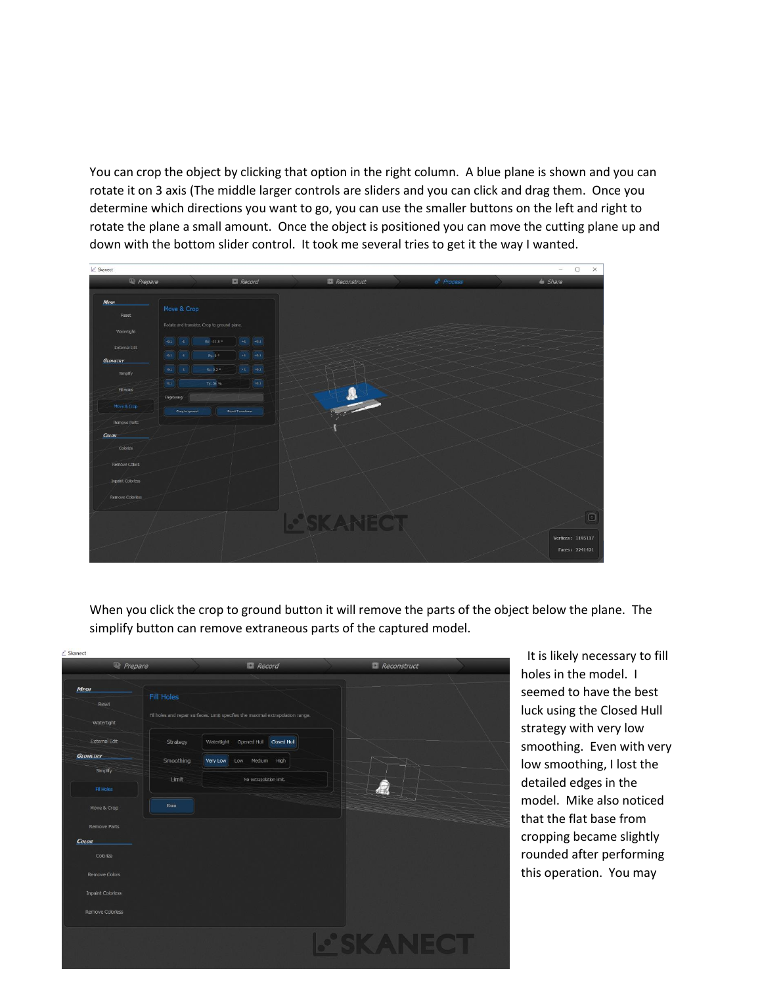You can crop the object by clicking that option in the right column. A blue plane is shown and you can rotate it on 3 axis (The middle larger controls are sliders and you can click and drag them. Once you determine which directions you want to go, you can use the smaller buttons on the left and right to rotate the plane a small amount. Once the object is positioned you can move the cutting plane up and down with the bottom slider control. It took me several tries to get it the way I wanted.



When you click the crop to ground button it will remove the parts of the object below the plane. The simplify button can remove extraneous parts of the captured model.

| Prepare                            |                   | Record                                                                           | Reconstruct     |  |
|------------------------------------|-------------------|----------------------------------------------------------------------------------|-----------------|--|
| <b>MESH</b><br>Reset               | <b>Fill Holes</b> | Fill holes and repair surfaces. Limit specifies the maximal extrapolation range. |                 |  |
| Watertight<br><b>External Edit</b> | Strategy          | Opened Hull Closed Hull<br>Watertight                                            |                 |  |
| <b>GEOMETRY</b>                    | Smoothing         | Very Low<br>Low Medium High                                                      |                 |  |
| Simplify                           | Limit             | No extrapolation limit.                                                          |                 |  |
| <b>Fill Holes</b>                  | Run               |                                                                                  |                 |  |
| Move & Crop<br>Remove Parts        |                   |                                                                                  |                 |  |
| <b>COLOR</b>                       |                   |                                                                                  |                 |  |
| Colorize                           |                   |                                                                                  |                 |  |
| Remove Colors                      |                   |                                                                                  |                 |  |
| <b>Inpaint Colorless</b>           |                   |                                                                                  |                 |  |
| Remove Colorless                   |                   |                                                                                  |                 |  |
|                                    |                   |                                                                                  | <b>PSKANECT</b> |  |
|                                    |                   |                                                                                  |                 |  |

 It is likely necessary to fill holes in the model. I seemed to have the best luck using the Closed Hull strategy with very low smoothing. Even with very low smoothing, I lost the detailed edges in the model. Mike also noticed that the flat base from cropping became slightly rounded after performing this operation. You may